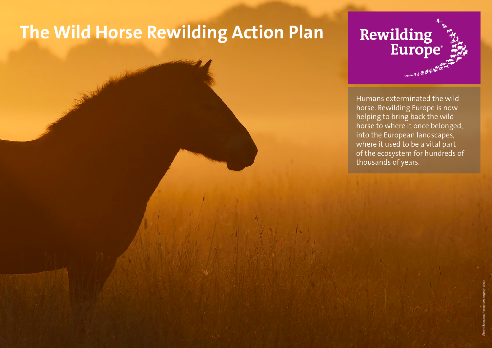## **The Wild Horse Rewilding Action Plan**



Humans exterminated the wild horse. Rewilding Europe is now helping to bring back the wild horse to where it once belonged, into the European landscapes, where it used to be a vital part of the ecosystem for hundreds of thousands of years.